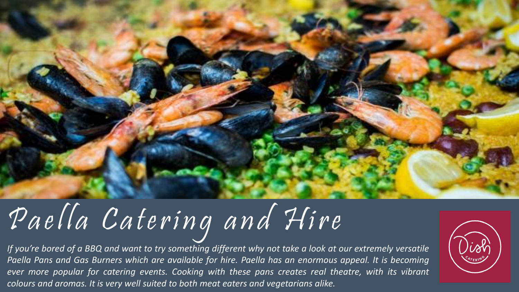

# Paella Catering and Hire

If you're bored of a BBQ and want to try something different why not take a look at our extremely versatile Paella Pans and Gas Burners which are available for hire. Paella has an enormous appeal. It is becoming *ever more popular for catering events. Cooking with these pans creates real theatre, with its vibrant colours and aromas. It is very well suited to both meat eaters and vegetarians alike.*

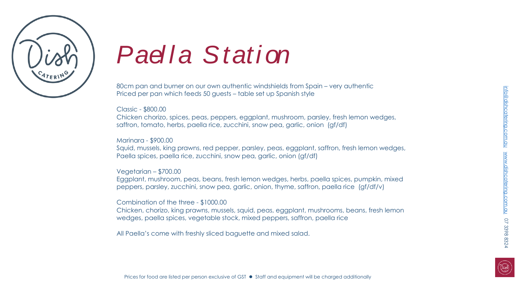

## *Pael l a Stati on*

80cm pan and burner on our own authentic windshields from Spain – very authentic Priced per pan which feeds 50 guests – table set up Spanish style

#### Classic - \$800.00

Chicken chorizo, spices, peas, peppers, eggplant, mushroom, parsley, fresh lemon wedges, saffron, tomato, herbs, paella rice, zucchini, snow pea, garlic, onion (gf/df)

#### Marinara - \$900.00

Squid, mussels, king prawns, red pepper, parsley, peas, eggplant, saffron, fresh lemon wedges, Paella spices, paella rice, zucchini, snow pea, garlic, onion (gf/df)

#### Vegetarian – \$700.00

Eggplant, mushroom, peas, beans, fresh lemon wedges, herbs, paella spices, pumpkin, mixed peppers, parsley, zucchini, snow pea, garlic, onion, thyme, saffron, paella rice (gf/df/v)

#### Combination of the three - \$1000.00

Chicken, chorizo, king prawns, mussels, squid, peas, eggplant, mushrooms, beans, fresh lemon wedges, paella spices, vegetable stock, mixed peppers, saffron, paella rice

All Paella's come with freshly sliced baguette and mixed salad.